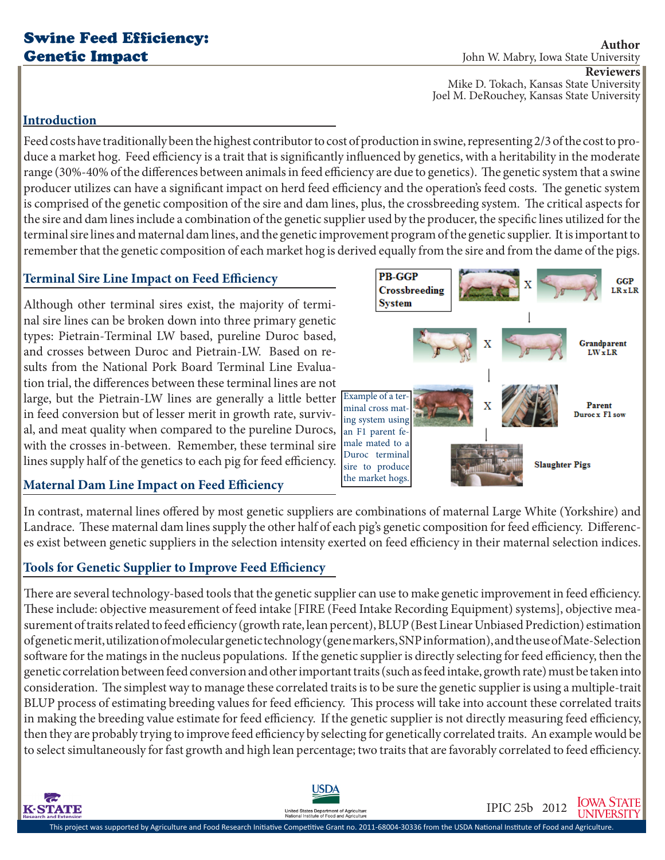# Swine Feed Efficiency: Genetic Impact

**Author** John W. Mabry, Iowa State University **Reviewers**

Mike D. Tokach, Kansas State University Joel M. DeRouchey, Kansas State University

### **Introduction**

 $\overline{\boldsymbol{c}}$ 

**K-STATE** 

Feed costs have traditionally been the highest contributor to cost of production in swine, representing 2/3 of the cost to produce a market hog. Feed efficiency is a trait that is significantly influenced by genetics, with a heritability in the moderate range (30%-40% of the differences between animals in feed efficiency are due to genetics). The genetic system that a swine producer utilizes can have a significant impact on herd feed efficiency and the operation's feed costs. The genetic system is comprised of the genetic composition of the sire and dam lines, plus, the crossbreeding system. The critical aspects for the sire and dam lines include a combination of the genetic supplier used by the producer, the specific lines utilized for the terminal sire lines and maternal dam lines, and the genetic improvement program of the genetic supplier. It is important to remember that the genetic composition of each market hog is derived equally from the sire and from the dame of the pigs.

## **Terminal Sire Line Impact on Feed Efficiency**

Although other terminal sires exist, the majority of terminal sire lines can be broken down into three primary genetic types: Pietrain-Terminal LW based, pureline Duroc based, and crosses between Duroc and Pietrain-LW. Based on results from the National Pork Board Terminal Line Evaluation trial, the differences between these terminal lines are not large, but the Pietrain-LW lines are generally a little better Example of a terin feed conversion but of lesser merit in growth rate, survival, and meat quality when compared to the pureline Durocs, with the crosses in-between. Remember, these terminal sire lines supply half of the genetics to each pig for feed efficiency.



**PB-GGP GGP** Crossbreeding  $LR \times LR$ **System** Grandparent  $LWxLR$ Parent minal cross mat-Duroc x Fl sow ing system using an F1 parent female mated to a Duroc terminal **Slaughter Pigs** sire to produce

In contrast, maternal lines offered by most genetic suppliers are combinations of maternal Large White (Yorkshire) and Landrace. These maternal dam lines supply the other half of each pig's genetic composition for feed efficiency. Differences exist between genetic suppliers in the selection intensity exerted on feed efficiency in their maternal selection indices.

# **Tools for Genetic Supplier to Improve Feed Efficiency**

There are several technology-based tools that the genetic supplier can use to make genetic improvement in feed efficiency. These include: objective measurement of feed intake [FIRE (Feed Intake Recording Equipment) systems], objective measurement of traits related to feed efficiency (growth rate, lean percent), BLUP (Best Linear Unbiased Prediction) estimation of genetic merit, utilization of molecular genetic technology (gene markers, SNP information), and the use of Mate-Selection software for the matings in the nucleus populations. If the genetic supplier is directly selecting for feed efficiency, then the genetic correlation between feed conversion and other important traits (such as feed intake, growth rate) must be taken into consideration. The simplest way to manage these correlated traits is to be sure the genetic supplier is using a multiple-trait BLUP process of estimating breeding values for feed efficiency. This process will take into account these correlated traits in making the breeding value estimate for feed efficiency. If the genetic supplier is not directly measuring feed efficiency, then they are probably trying to improve feed efficiency by selecting for genetically correlated traits. An example would be to select simultaneously for fast growth and high lean percentage; two traits that are favorably correlated to feed efficiency.